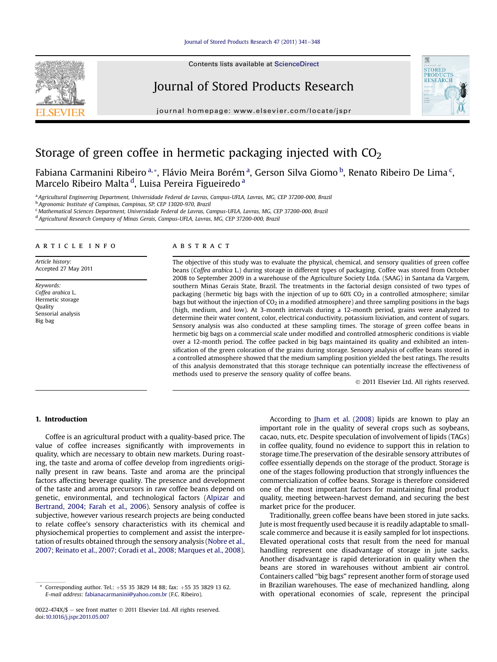#### [Journal of Stored Products Research 47 \(2011\) 341](http://dx.doi.org/10.1016/j.jspr.2011.05.007)-[348](http://dx.doi.org/10.1016/j.jspr.2011.05.007)



Contents lists available at ScienceDirect

## Journal of Stored Products Research

journal homepage: [www.elsevier.com/locate/jspr](http://www.elsevier.com/locate/jspr)



# Storage of green coffee in hermetic packaging injected with  $CO<sub>2</sub>$

Fabiana Carmanini Ribeiro <sup>a,</sup>\*, Flávio Meira Borém <sup>a</sup>, Gerson Silva Giomo <sup>b</sup>, Renato Ribeiro De Lima <sup>c</sup>, Marcelo Ribeiro Malta <sup>d</sup>, Luisa Pereira Figueiredo <sup>a</sup>

<sup>a</sup> Agricultural Engineering Department, Universidade Federal de Lavras, Campus-UFLA, Lavras, MG, CEP 37200-000, Brazil

<sup>b</sup> Agronomic Institute of Campinas, Campinas, SP, CEP 13020-970, Brazil

<sup>c</sup> Mathematical Sciences Department, Universidade Federal de Lavras, Campus-UFLA, Lavras, MG, CEP 37200-000, Brazil

<sup>d</sup> Agricultural Research Company of Minas Gerais, Campus-UFLA, Lavras, MG, CEP 37200-000, Brazil

## article info

Article history: Accepted 27 May 2011

Keywords: Coffea arabica L. Hermetic storage Quality Sensorial analysis Big bag

## **ABSTRACT**

The objective of this study was to evaluate the physical, chemical, and sensory qualities of green coffee beans (Coffea arabica L.) during storage in different types of packaging. Coffee was stored from October 2008 to September 2009 in a warehouse of the Agriculture Society Ltda. (SAAG) in Santana da Vargem, southern Minas Gerais State, Brazil. The treatments in the factorial design consisted of two types of packaging (hermetic big bags with the injection of up to  $60\%$  CO<sub>2</sub> in a controlled atmosphere; similar bags but without the injection of  $CO<sub>2</sub>$  in a modified atmosphere) and three sampling positions in the bags (high, medium, and low). At 3-month intervals during a 12-month period, grains were analyzed to determine their water content, color, electrical conductivity, potassium lixiviation, and content of sugars. Sensory analysis was also conducted at these sampling times. The storage of green coffee beans in hermetic big bags on a commercial scale under modified and controlled atmospheric conditions is viable over a 12-month period. The coffee packed in big bags maintained its quality and exhibited an intensification of the green coloration of the grains during storage. Sensory analysis of coffee beans stored in a controlled atmosphere showed that the medium sampling position yielded the best ratings. The results of this analysis demonstrated that this storage technique can potentially increase the effectiveness of methods used to preserve the sensory quality of coffee beans.

2011 Elsevier Ltd. All rights reserved.

## 1. Introduction

Coffee is an agricultural product with a quality-based price. The value of coffee increases significantly with improvements in quality, which are necessary to obtain new markets. During roasting, the taste and aroma of coffee develop from ingredients originally present in raw beans. Taste and aroma are the principal factors affecting beverage quality. The presence and development of the taste and aroma precursors in raw coffee beans depend on genetic, environmental, and technological factors ([Alpizar and](#page-6-0) [Bertrand, 2004; Farah et al., 2006](#page-6-0)). Sensory analysis of coffee is subjective, however various research projects are being conducted to relate coffee's sensory characteristics with its chemical and physiochemical properties to complement and assist the interpretation of results obtained through the sensory analysis [\(Nobre et al.,](#page-7-0) [2007; Reinato et al., 2007; Coradi et al., 2008; Marques et al., 2008\)](#page-7-0).

According to [Jham et al. \(2008\)](#page-7-0) lipids are known to play an important role in the quality of several crops such as soybeans, cacao, nuts, etc. Despite speculation of involvement of lipids (TAGs) in coffee quality, found no evidence to support this in relation to storage time.The preservation of the desirable sensory attributes of coffee essentially depends on the storage of the product. Storage is one of the stages following production that strongly influences the commercialization of coffee beans. Storage is therefore considered one of the most important factors for maintaining final product quality, meeting between-harvest demand, and securing the best market price for the producer.

Traditionally, green coffee beans have been stored in jute sacks. Jute is most frequently used because it is readily adaptable to smallscale commerce and because it is easily sampled for lot inspections. Elevated operational costs that result from the need for manual handling represent one disadvantage of storage in jute sacks. Another disadvantage is rapid deterioration in quality when the beans are stored in warehouses without ambient air control. Containers called "big bags" represent another form of storage used in Brazilian warehouses. The ease of mechanized handling, along with operational economies of scale, represent the principal

Corresponding author. Tel.:  $+55$  35 3829 14 88; fax:  $+55$  35 3829 13 62. E-mail address: [fabianacarmanini@yahoo.com.br](mailto:fabianacarmanini@yahoo.com.br) (F.C. Ribeiro).

 $0022-474X/\$$  – see front matter  $\degree$  2011 Elsevier Ltd. All rights reserved. doi[:10.1016/j.jspr.2011.05.007](http://dx.doi.org/10.1016/j.jspr.2011.05.007)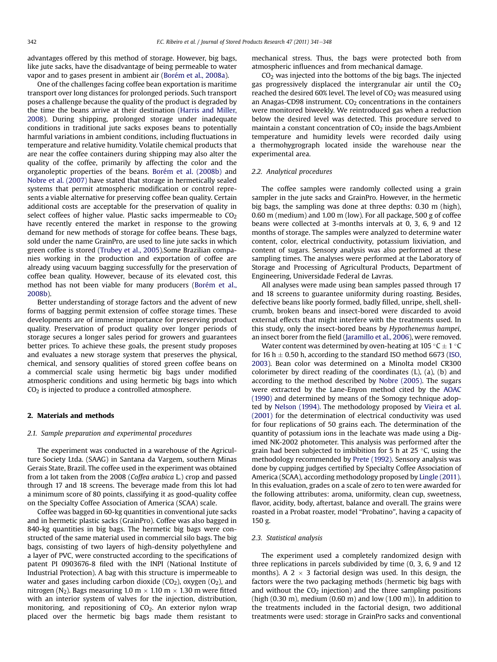advantages offered by this method of storage. However, big bags, like jute sacks, have the disadvantage of being permeable to water vapor and to gases present in ambient air [\(Borém et al., 2008a\)](#page-7-0).

One of the challenges facing coffee bean exportation is maritime transport over long distances for prolonged periods. Such transport poses a challenge because the quality of the product is degraded by the time the beans arrive at their destination ([Harris and Miller,](#page-7-0) [2008](#page-7-0)). During shipping, prolonged storage under inadequate conditions in traditional jute sacks exposes beans to potentially harmful variations in ambient conditions, including fluctuations in temperature and relative humidity. Volatile chemical products that are near the coffee containers during shipping may also alter the quality of the coffee, primarily by affecting the color and the organoleptic properties of the beans. [Borém et al. \(2008b\)](#page-7-0) and [Nobre et al. \(2007\)](#page-7-0) have stated that storage in hermetically sealed systems that permit atmospheric modification or control represents a viable alternative for preserving coffee bean quality. Certain additional costs are acceptable for the preservation of quality in select coffees of higher value. Plastic sacks impermeable to  $CO<sub>2</sub>$ have recently entered the market in response to the growing demand for new methods of storage for coffee beans. These bags, sold under the name GrainPro, are used to line jute sacks in which green coffee is stored [\(Trubey et al., 2005](#page-7-0)).Some Brazilian companies working in the production and exportation of coffee are already using vacuum bagging successfully for the preservation of coffee bean quality. However, because of its elevated cost, this method has not been viable for many producers [\(Borém et al.,](#page-7-0) [2008b\)](#page-7-0).

Better understanding of storage factors and the advent of new forms of bagging permit extension of coffee storage times. These developments are of immense importance for preserving product quality. Preservation of product quality over longer periods of storage secures a longer sales period for growers and guarantees better prices. To achieve these goals, the present study proposes and evaluates a new storage system that preserves the physical, chemical, and sensory qualities of stored green coffee beans on a commercial scale using hermetic big bags under modified atmospheric conditions and using hermetic big bags into which CO2 is injected to produce a controlled atmosphere.

## 2. Materials and methods

## 2.1. Sample preparation and experimental procedures

The experiment was conducted in a warehouse of the Agriculture Society Ltda. (SAAG) in Santana da Vargem, southern Minas Gerais State, Brazil. The coffee used in the experiment was obtained from a lot taken from the 2008 (Coffea arabica L.) crop and passed through 17 and 18 screens. The beverage made from this lot had a minimum score of 80 points, classifying it as good-quality coffee on the Specialty Coffee Association of America (SCAA) scale.

Coffee was bagged in 60-kg quantities in conventional jute sacks and in hermetic plastic sacks (GrainPro). Coffee was also bagged in 840-kg quantities in big bags. The hermetic big bags were constructed of the same material used in commercial silo bags. The big bags, consisting of two layers of high-density polyethylene and a layer of PVC, were constructed according to the specifications of patent PI 0903676-8 filed with the INPI (National Institute of Industrial Protection). A bag with this structure is impermeable to water and gases including carbon dioxide  $(CO<sub>2</sub>)$ , oxygen  $(O<sub>2</sub>)$ , and nitrogen (N<sub>2</sub>). Bags measuring 1.0 m  $\times$  1.10 m  $\times$  1.30 m were fitted with an interior system of valves for the injection, distribution, monitoring, and repositioning of  $CO<sub>2</sub>$ . An exterior nylon wrap placed over the hermetic big bags made them resistant to mechanical stress. Thus, the bags were protected both from atmospheric influences and from mechanical damage.

CO2 was injected into the bottoms of the big bags. The injected gas progressively displaced the intergranular air until the  $CO<sub>2</sub>$ reached the desired 60% level. The level of  $CO<sub>2</sub>$  was measured using an Anagas-CD98 instrument.  $CO<sub>2</sub>$  concentrations in the containers were monitored biweekly. We reintroduced gas when a reduction below the desired level was detected. This procedure served to maintain a constant concentration of  $CO<sub>2</sub>$  inside the bags. Ambient temperature and humidity levels were recorded daily using a thermohygrograph located inside the warehouse near the experimental area.

#### 2.2. Analytical procedures

The coffee samples were randomly collected using a grain sampler in the jute sacks and GrainPro. However, in the hermetic big bags, the sampling was done at three depths: 0.30 m (high), 0.60 m (medium) and 1.00 m (low). For all package, 500 g of coffee beans were collected at 3-months intervals at 0, 3, 6, 9 and 12 months of storage. The samples were analyzed to determine water content, color, electrical conductivity, potassium lixiviation, and content of sugars. Sensory analysis was also performed at these sampling times. The analyses were performed at the Laboratory of Storage and Processing of Agricultural Products, Department of Engineering, Universidade Federal de Lavras.

All analyses were made using bean samples passed through 17 and 18 screens to guarantee uniformity during roasting. Besides, defective beans like poorly formed, badly filled, unripe, shell, shellcrumb, broken beans and insect-bored were discarded to avoid external effects that might interfere with the treatments used. In this study, only the insect-bored beans by Hypothenemus hampei, an insect borer from the field [\(Jaramillo et al., 2006](#page-7-0)), were removed.

Water content was determined by oven-heating at 105 °C  $\pm$  1 °C for 16 h  $\pm$  0.50 h, according to the standard ISO method 6673 [\(ISO,](#page-7-0) [2003](#page-7-0)). Bean color was determined on a Minolta model CR300 colorimeter by direct reading of the coordinates (L), (a), (b) and according to the method described by [Nobre \(2005\).](#page-7-0) The sugars were extracted by the Lane-Enyon method cited by the [AOAC](#page-7-0) [\(1990\)](#page-7-0) and determined by means of the Somogy technique adopted by [Nelson \(1994\).](#page-7-0) The methodology proposed by [Vieira et al.](#page-7-0) [\(2001\)](#page-7-0) for the determination of electrical conductivity was used for four replications of 50 grains each. The determination of the quantity of potassium ions in the leachate was made using a Digimed NK-2002 photometer. This analysis was performed after the grain had been subjected to imbibition for 5 h at 25  $\degree$ C, using the methodology recommended by [Prete \(1992\).](#page-7-0) Sensory analysis was done by cupping judges certified by Specialty Coffee Association of America (SCAA), according methodology proposed by [Lingle \(2011\).](#page-7-0) In this evaluation, grades on a scale of zero to ten were awarded for the following attributes: aroma, uniformity, clean cup, sweetness, flavor, acidity, body, aftertast, balance and overall. The grains were roasted in a Probat roaster, model "Probatino", having a capacity of 150 g.

## 2.3. Statistical analysis

The experiment used a completely randomized design with three replications in parcels subdivided by time (0, 3, 6, 9 and 12 months). A 2  $\times$  3 factorial design was used. In this design, the factors were the two packaging methods (hermetic big bags with and without the  $CO<sub>2</sub>$  injection) and the three sampling positions (high (0.30 m), medium (0.60 m) and low (1.00 m)). In addition to the treatments included in the factorial design, two additional treatments were used: storage in GrainPro sacks and conventional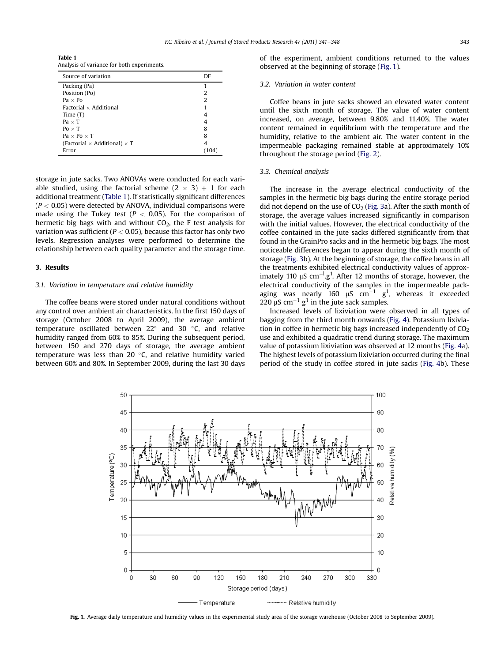Table 1 Analysis of variance for both experiments.

| Source of variation                        | DF |
|--------------------------------------------|----|
| Packing (Pa)                               |    |
| Position (Po)                              | 2  |
| $Pa \times Po$                             | 2  |
| Factorial $\times$ Additional              |    |
| Time $(T)$                                 |    |
| $Pa \times T$                              |    |
| $Po \times T$                              | 8  |
| $Pa \times Po \times T$                    | 8  |
| (Factorial $\times$ Additional) $\times$ T |    |
| Error                                      |    |

storage in jute sacks. Two ANOVAs were conducted for each variable studied, using the factorial scheme  $(2 \times 3) + 1$  for each additional treatment (Table 1). If statistically significant differences  $(P < 0.05)$  were detected by ANOVA, individual comparisons were made using the Tukey test ( $P < 0.05$ ). For the comparison of hermetic big bags with and without  $CO<sub>2</sub>$ , the F test analysis for variation was sufficient ( $P < 0.05$ ), because this factor has only two levels. Regression analyses were performed to determine the relationship between each quality parameter and the storage time.

## 3. Results

## 3.1. Variation in temperature and relative humidity

The coffee beans were stored under natural conditions without any control over ambient air characteristics. In the first 150 days of storage (October 2008 to April 2009), the average ambient temperature oscillated between  $22^{\circ}$  and 30  $^{\circ}$ C, and relative humidity ranged from 60% to 85%. During the subsequent period, between 150 and 270 days of storage, the average ambient temperature was less than 20 $\degree$ C, and relative humidity varied between 60% and 80%. In September 2009, during the last 30 days

of the experiment, ambient conditions returned to the values observed at the beginning of storage (Fig. 1).

## 3.2. Variation in water content

Coffee beans in jute sacks showed an elevated water content until the sixth month of storage. The value of water content increased, on average, between 9.80% and 11.40%. The water content remained in equilibrium with the temperature and the humidity, relative to the ambient air. The water content in the impermeable packaging remained stable at approximately 10% throughout the storage period ([Fig. 2\)](#page-3-0).

#### 3.3. Chemical analysis

The increase in the average electrical conductivity of the samples in the hermetic big bags during the entire storage period did not depend on the use of  $CO<sub>2</sub>$  ([Fig. 3a](#page-3-0)). After the sixth month of storage, the average values increased significantly in comparison with the initial values. However, the electrical conductivity of the coffee contained in the jute sacks differed significantly from that found in the GrainPro sacks and in the hermetic big bags. The most noticeable differences began to appear during the sixth month of storage [\(Fig. 3b](#page-3-0)). At the beginning of storage, the coffee beans in all the treatments exhibited electrical conductivity values of approximately 110  $\mu$ S cm<sup>-1</sup>.g<sup>1</sup>. After 12 months of storage, however, the electrical conductivity of the samples in the impermeable packaging was nearly 160  $\mu$ S cm $^{-1}$  g<sup>1</sup>, whereas it exceeded 220  $\mu$ S cm<sup>-1</sup> g<sup>1</sup> in the jute sack samples.

Increased levels of lixiviation were observed in all types of bagging from the third month onwards [\(Fig. 4](#page-3-0)). Potassium lixiviation in coffee in hermetic big bags increased independently of  $CO<sub>2</sub>$ use and exhibited a quadratic trend during storage. The maximum value of potassium lixiviation was observed at 12 months [\(Fig. 4](#page-3-0)a). The highest levels of potassium lixiviation occurred during the final period of the study in coffee stored in jute sacks [\(Fig. 4b](#page-3-0)). These



Fig. 1. Average daily temperature and humidity values in the experimental study area of the storage warehouse (October 2008 to September 2009).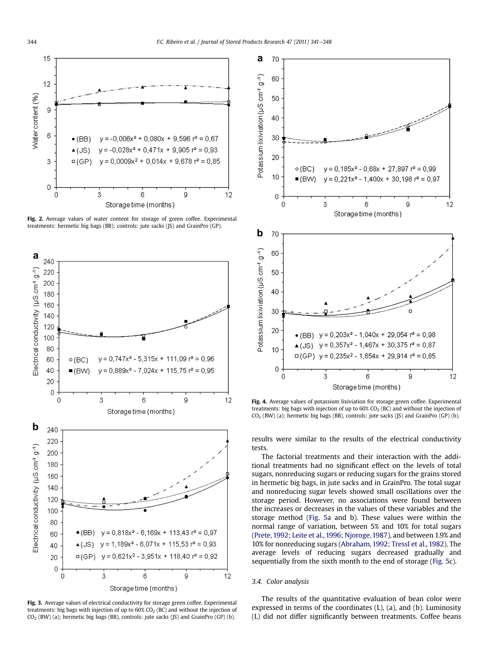<span id="page-3-0"></span>

Fig. 2. Average values of water content for storage of green coffee. Experimental treatments: hermetic big bags (BB); controls: jute sacks (JS) and GrainPro (GP).



Fig. 3. Average values of electrical conductivity for storage green coffee. Experimental treatments: big bags with injection of up to  $60\%$  CO<sub>2</sub> (BC) and without the injection of  $CO<sub>2</sub>$  (BW) (a); hermetic big bags (BB), controls: jute sacks (JS) and GrainPro (GP) (b).



Fig. 4. Average values of potassium lixiviation for storage green coffee. Experimental treatments: big bags with injection of up to  $60\%$  CO<sub>2</sub> (BC) and without the injection of  $CO<sub>2</sub>$  (BW) (a); hermetic big bags (BB), controls: jute sacks (JS) and GrainPro (GP) (b).

results were similar to the results of the electrical conductivity tests.

The factorial treatments and their interaction with the additional treatments had no significant effect on the levels of total sugars, nonreducing sugars or reducing sugars for the grains stored in hermetic big bags, in jute sacks and in GrainPro. The total sugar and nonreducing sugar levels showed small oscillations over the storage period. However, no associations were found between the increases or decreases in the values of these variables and the storage method [\(Fig. 5a](#page-4-0) and b). These values were within the normal range of variation, between 5% and 10% for total sugars ([Prete, 1992; Leite et al., 1996; Njoroge, 1987\)](#page-7-0), and between 1.9% and 10% for nonreducing sugars ([Abraham, 1992; Tressl et al., 1982](#page-6-0)). The average levels of reducing sugars decreased gradually and sequentially from the sixth month to the end of storage ([Fig. 5c](#page-4-0)).

## 3.4. Color analysis

The results of the quantitative evaluation of bean color were expressed in terms of the coordinates (L), (a), and (b). Luminosity (L) did not differ significantly between treatments. Coffee beans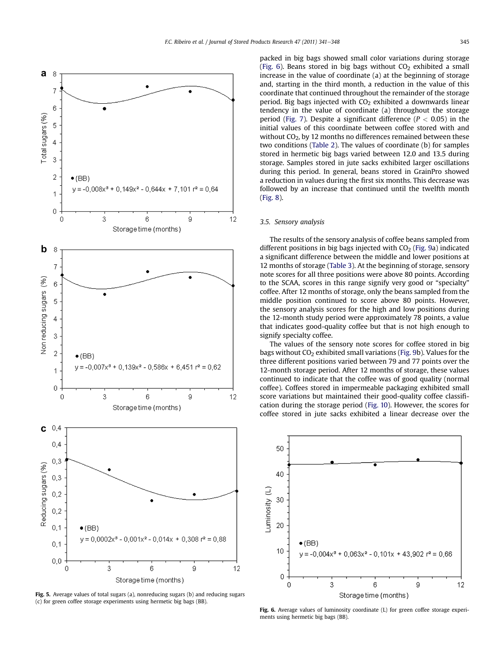<span id="page-4-0"></span>

Fig. 5. Average values of total sugars (a), nonreducing sugars (b) and reducing sugars (c) for green coffee storage experiments using hermetic big bags (BB).

packed in big bags showed small color variations during storage (Fig. 6). Beans stored in big bags without  $CO<sub>2</sub>$  exhibited a small increase in the value of coordinate (a) at the beginning of storage and, starting in the third month, a reduction in the value of this coordinate that continued throughout the remainder of the storage period. Big bags injected with  $CO<sub>2</sub>$  exhibited a downwards linear tendency in the value of coordinate (a) throughout the storage period ([Fig. 7\)](#page-5-0). Despite a significant difference ( $P < 0.05$ ) in the initial values of this coordinate between coffee stored with and without CO<sub>2</sub>, by 12 months no differences remained between these two conditions [\(Table 2](#page-5-0)). The values of coordinate (b) for samples stored in hermetic big bags varied between 12.0 and 13.5 during storage. Samples stored in jute sacks exhibited larger oscillations during this period. In general, beans stored in GrainPro showed a reduction in values during the first six months. This decrease was followed by an increase that continued until the twelfth month ([Fig. 8\)](#page-5-0).

#### 3.5. Sensory analysis

The results of the sensory analysis of coffee beans sampled from different positions in big bags injected with  $CO<sub>2</sub>$  [\(Fig. 9](#page-5-0)a) indicated a significant difference between the middle and lower positions at 12 months of storage [\(Table 3\)](#page-6-0). At the beginning of storage, sensory note scores for all three positions were above 80 points. According to the SCAA, scores in this range signify very good or "specialty" coffee. After 12 months of storage, only the beans sampled from the middle position continued to score above 80 points. However, the sensory analysis scores for the high and low positions during the 12-month study period were approximately 78 points, a value that indicates good-quality coffee but that is not high enough to signify specialty coffee.

The values of the sensory note scores for coffee stored in big bags without  $CO<sub>2</sub>$  exhibited small variations ([Fig. 9](#page-5-0)b). Values for the three different positions varied between 79 and 77 points over the 12-month storage period. After 12 months of storage, these values continued to indicate that the coffee was of good quality (normal coffee). Coffees stored in impermeable packaging exhibited small score variations but maintained their good-quality coffee classification during the storage period ([Fig. 10\)](#page-6-0). However, the scores for coffee stored in jute sacks exhibited a linear decrease over the



Fig. 6. Average values of luminosity coordinate (L) for green coffee storage experiments using hermetic big bags (BB).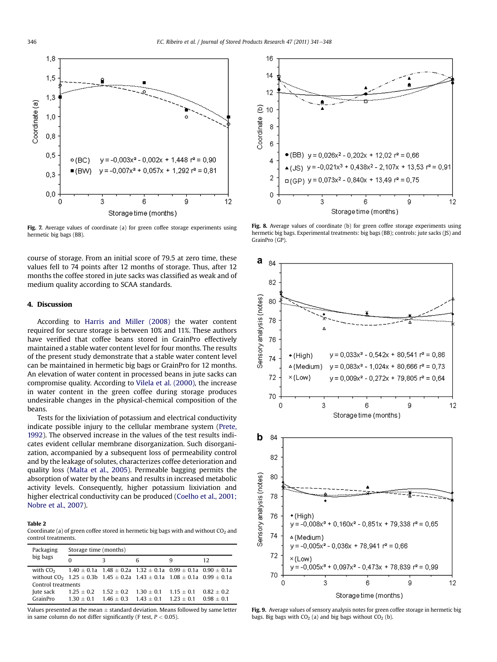<span id="page-5-0"></span>

Fig. 7. Average values of coordinate (a) for green coffee storage experiments using hermetic big bags (BB).

course of storage. From an initial score of 79.5 at zero time, these values fell to 74 points after 12 months of storage. Thus, after 12 months the coffee stored in jute sacks was classified as weak and of medium quality according to SCAA standards.

## 4. Discussion

According to [Harris and Miller \(2008\)](#page-7-0) the water content required for secure storage is between 10% and 11%. These authors have verified that coffee beans stored in GrainPro effectively maintained a stable water content level for four months. The results of the present study demonstrate that a stable water content level can be maintained in hermetic big bags or GrainPro for 12 months. An elevation of water content in processed beans in jute sacks can compromise quality. According to [Vilela et al. \(2000\)](#page-7-0), the increase in water content in the green coffee during storage produces undesirable changes in the physical-chemical composition of the beans.

Tests for the lixiviation of potassium and electrical conductivity indicate possible injury to the cellular membrane system [\(Prete,](#page-7-0) [1992](#page-7-0)). The observed increase in the values of the test results indicates evident cellular membrane disorganization. Such disorganization, accompanied by a subsequent loss of permeability control and by the leakage of solutes, characterizes coffee deterioration and quality loss ([Malta et al., 2005](#page-7-0)). Permeable bagging permits the absorption of water by the beans and results in increased metabolic activity levels. Consequently, higher potassium lixiviation and higher electrical conductivity can be produced ([Coelho et al., 2001;](#page-7-0) [Nobre et al., 2007](#page-7-0)).

#### Table 2

Coordinate (a) of green coffee stored in hermetic big bags with and without  $CO<sub>2</sub>$  and control treatments.

| Packaging<br>big bags                                                                                   | Storage time (months)      |                                       |              |                            |                              |  |  |
|---------------------------------------------------------------------------------------------------------|----------------------------|---------------------------------------|--------------|----------------------------|------------------------------|--|--|
|                                                                                                         | $\Omega$                   | 3                                     | 6            | q                          | 12                           |  |  |
| with $CO_2$ 1.40 $\pm$ 0.1a 1.48 $\pm$ 0.2a 1.32 $\pm$ 0.1a 0.99 $\pm$ 0.1a 0.90 $\pm$ 0.1a             |                            |                                       |              |                            |                              |  |  |
| without CO <sub>2</sub> 1.25 $\pm$ 0.3b 1.45 $\pm$ 0.2a 1.43 $\pm$ 0.1a 1.08 $\pm$ 0.1a 0.99 $\pm$ 0.1a |                            |                                       |              |                            |                              |  |  |
| Control treatments                                                                                      |                            |                                       |              |                            |                              |  |  |
| Jute sack<br>GrainPro                                                                                   | $1.25 + 0.2$<br>$130 + 01$ | $1.52 + 0.2$<br>$146 + 03$ $143 + 01$ | $1.30 + 0.1$ | $1.15 + 0.1$<br>$123 + 01$ | $0.82 + 0.2$<br>$0.98 + 0.1$ |  |  |

Values presented as the mean  $\pm$  standard deviation. Means followed by same letter in same column do not differ significantly (F test,  $P < 0.05$ ).



Fig. 8. Average values of coordinate (b) for green coffee storage experiments using hermetic big bags. Experimental treatments: big bags (BB); controls: jute sacks (JS) and GrainPro (GP).



Fig. 9. Average values of sensory analysis notes for green coffee storage in hermetic big bags. Big bags with  $CO<sub>2</sub>$  (a) and big bags without  $CO<sub>2</sub>$  (b).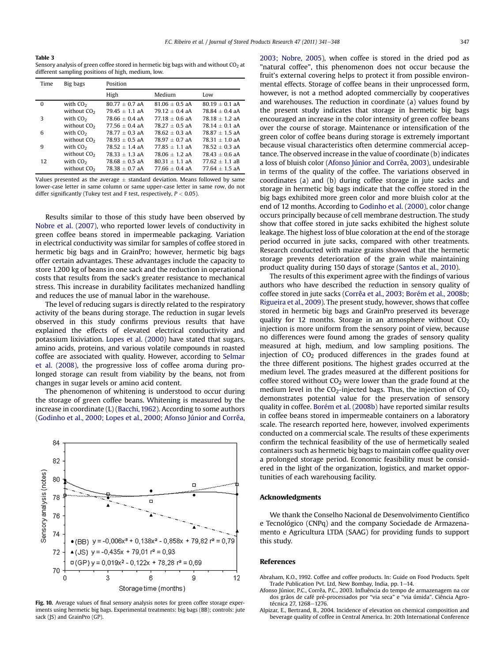<span id="page-6-0"></span>Table 3 Sensory analysis of green coffee stored in hermetic big bags with and without  $CO<sub>2</sub>$  at different sampling positions of high, medium, low.

| Time     | Big bags                | Position         |                  |                  |  |
|----------|-------------------------|------------------|------------------|------------------|--|
|          |                         | High             | Medium           | Low              |  |
| $\Omega$ | with $CO2$              | $80.77 + 0.7$ aA | $81.06 + 0.5$ aA | $80.19 + 0.1$ aA |  |
|          | without CO <sub>2</sub> | $79.45 + 1.1$ aA | $79.12 + 0.4$ aA | $78.84 + 0.4$ aA |  |
| 3        | with $CO2$              | $78.66 + 0.4$ aA | $77.18 + 0.6$ aA | $78.18 + 1.2$ aA |  |
|          | without $CO2$           | $77.56 + 0.4$ aA | $7827 + 05$ aA   | $7814 + 01$ aA   |  |
| 6        | with $CO2$              | $78.77 + 0.3$ aA | $78.62 + 0.3$ aA | $78.87 + 1.5$ aA |  |
|          | without CO <sub>2</sub> | $78.93 + 0.5$ aA | $78.97 + 0.7$ aA | $78.31 + 1.0$ aA |  |
| 9        | with $CO2$              | $78.52 + 1.4$ aA | $77.85 + 1.1$ aA | $78.52 + 0.3$ aA |  |
|          | without CO <sub>2</sub> | $78.33 + 1.3$ aA | $78.06 + 1.2 aA$ | $78.43 + 0.6$ aA |  |
| 12       | with $CO2$              | $78.68 + 0.5$ aA | $80.31 + 1.1$ aA | $77.62 + 1.1$ aB |  |
|          | without $CO2$           | $78.38 + 0.7$ aA | $77.66 + 0.4$ aA | $77.64 + 1.5$ aA |  |

Values presented as the average  $\pm$  standard deviation. Means followed by same lower-case letter in same column or same upper-case letter in same row, do not differ significantly (Tukey test and F test, respectively,  $P < 0.05$ ).

Results similar to those of this study have been observed by [Nobre et al. \(2007\),](#page-7-0) who reported lower levels of conductivity in green coffee beans stored in impermeable packaging. Variation in electrical conductivity was similar for samples of coffee stored in hermetic big bags and in GrainPro; however, hermetic big bags offer certain advantages. These advantages include the capacity to store 1.200 kg of beans in one sack and the reduction in operational costs that results from the sack's greater resistance to mechanical stress. This increase in durability facilitates mechanized handling and reduces the use of manual labor in the warehouse.

The level of reducing sugars is directly related to the respiratory activity of the beans during storage. The reduction in sugar levels observed in this study confirms previous results that have explained the effects of elevated electrical conductivity and potassium lixiviation. [Lopes et al. \(2000\)](#page-7-0) have stated that sugars, amino acids, proteins, and various volatile compounds in roasted coffee are associated with quality. However, according to [Selmar](#page-7-0) [et al. \(2008\)](#page-7-0), the progressive loss of coffee aroma during prolonged storage can result from viability by the beans, not from changes in sugar levels or amino acid content.

The phenomenon of whitening is understood to occur during the storage of green coffee beans. Whitening is measured by the increase in coordinate (L) [\(Bacchi, 1962](#page-7-0)). According to some authors ([Godinho et al., 2000; Lopes et al., 2000; Afonso Júnior and Corrêa,](#page-7-0)



Fig. 10. Average values of final sensory analysis notes for green coffee storage experiments using hermetic big bags. Experimental treatments: big bags (BB); controls: jute sack (JS) and GrainPro (GP).

[2003; Nobre, 2005\)](#page-7-0), when coffee is stored in the dried pod as "natural coffee", this phenomenon does not occur because the fruit's external covering helps to protect it from possible environmental effects. Storage of coffee beans in their unprocessed form, however, is not a method adopted commercially by cooperatives and warehouses. The reduction in coordinate (a) values found by the present study indicates that storage in hermetic big bags encouraged an increase in the color intensity of green coffee beans over the course of storage. Maintenance or intensification of the green color of coffee beans during storage is extremely important because visual characteristics often determine commercial acceptance. The observed increase in the value of coordinate (b) indicates a loss of bluish color (Afonso Júnior and Corrêa, 2003), undesirable in terms of the quality of the coffee. The variations observed in coordinates (a) and (b) during coffee storage in jute sacks and storage in hermetic big bags indicate that the coffee stored in the big bags exhibited more green color and more bluish color at the end of 12 months. According to [Godinho et al. \(2000\),](#page-7-0) color change occurs principally because of cell membrane destruction. The study show that coffee stored in jute sacks exhibited the highest solute leakage. The highest loss of blue coloration at the end of the storage period occurred in jute sacks, compared with other treatments. Research conducted with maize grains showed that the hermetic storage prevents deterioration of the grain while maintaining product quality during 150 days of storage [\(Santos et al., 2010](#page-7-0)).

The results of this experiment agree with the findings of various authors who have described the reduction in sensory quality of coffee stored in jute sacks [\(Corrêa et al., 2003; Borém et al., 2008b;](#page-7-0) [Rigueira et al., 2009\)](#page-7-0). The present study, however, shows that coffee stored in hermetic big bags and GrainPro preserved its beverage quality for 12 months. Storage in an atmosphere without  $CO<sub>2</sub>$ injection is more uniform from the sensory point of view, because no differences were found among the grades of sensory quality measured at high, medium, and low sampling positions. The injection of  $CO<sub>2</sub>$  produced differences in the grades found at the three different positions. The highest grades occurred at the medium level. The grades measured at the different positions for coffee stored without  $CO<sub>2</sub>$  were lower than the grade found at the medium level in the  $CO_2$ -injected bags. Thus, the injection of  $CO_2$ demonstrates potential value for the preservation of sensory quality in coffee. [Borém et al. \(2008b\)](#page-7-0) have reported similar results in coffee beans stored in impermeable containers on a laboratory scale. The research reported here, however, involved experiments conducted on a commercial scale. The results of these experiments confirm the technical feasibility of the use of hermetically sealed containers such as hermetic big bags to maintain coffee quality over a prolonged storage period. Economic feasibility must be considered in the light of the organization, logistics, and market opportunities of each warehousing facility.

#### Acknowledgments

We thank the Conselho Nacional de Desenvolvimento Científico e Tecnológico (CNPq) and the company Sociedade de Armazenamento e Agricultura LTDA (SAAG) for providing funds to support this study.

#### References

- Abraham, K.O., 1992. Coffee and coffee products. In: Guide on Food Products. Spelt Trade Publication Pvt. Ltd, New Bombay, India, pp. 1-14.
- Afonso Júnior, P.C., Corrêa, P.C., 2003. Influência do tempo de armazenagem na cor dos grãos de café pré-processados por "via seca" e "via úmida". Ciência Agrotécnica 27, 1268-1276
- Alpizar, E., Bertrand, B., 2004. Incidence of elevation on chemical composition and beverage quality of coffee in Central America. In: 20th International Conference